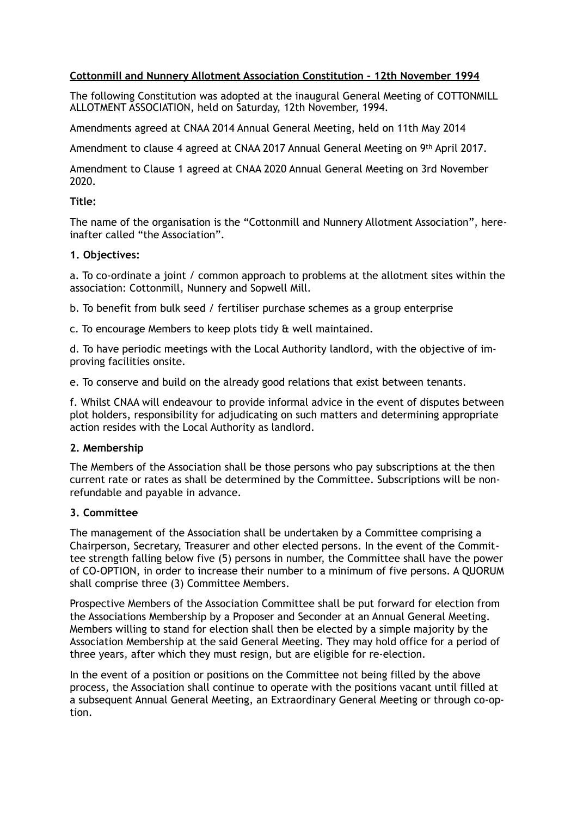# **Cottonmill and Nunnery Allotment Association Constitution – 12th November 1994**

The following Constitution was adopted at the inaugural General Meeting of COTTONMILL ALLOTMENT ASSOCIATION, held on Saturday, 12th November, 1994.

Amendments agreed at CNAA 2014 Annual General Meeting, held on 11th May 2014

Amendment to clause 4 agreed at CNAA 2017 Annual General Meeting on 9th April 2017.

Amendment to Clause 1 agreed at CNAA 2020 Annual General Meeting on 3rd November 2020.

### **Title:**

The name of the organisation is the "Cottonmill and Nunnery Allotment Association", hereinafter called "the Association".

### **1. Objectives:**

a. To co-ordinate a joint / common approach to problems at the allotment sites within the association: Cottonmill, Nunnery and Sopwell Mill.

b. To benefit from bulk seed / fertiliser purchase schemes as a group enterprise

c. To encourage Members to keep plots tidy & well maintained.

d. To have periodic meetings with the Local Authority landlord, with the objective of improving facilities onsite.

e. To conserve and build on the already good relations that exist between tenants.

f. Whilst CNAA will endeavour to provide informal advice in the event of disputes between plot holders, responsibility for adjudicating on such matters and determining appropriate action resides with the Local Authority as landlord.

# **2. Membership**

The Members of the Association shall be those persons who pay subscriptions at the then current rate or rates as shall be determined by the Committee. Subscriptions will be nonrefundable and payable in advance.

# **3. Committee**

The management of the Association shall be undertaken by a Committee comprising a Chairperson, Secretary, Treasurer and other elected persons. In the event of the Committee strength falling below five (5) persons in number, the Committee shall have the power of CO-OPTION, in order to increase their number to a minimum of five persons. A QUORUM shall comprise three (3) Committee Members.

Prospective Members of the Association Committee shall be put forward for election from the Associations Membership by a Proposer and Seconder at an Annual General Meeting. Members willing to stand for election shall then be elected by a simple majority by the Association Membership at the said General Meeting. They may hold office for a period of three years, after which they must resign, but are eligible for re-election.

In the event of a position or positions on the Committee not being filled by the above process, the Association shall continue to operate with the positions vacant until filled at a subsequent Annual General Meeting, an Extraordinary General Meeting or through co-option.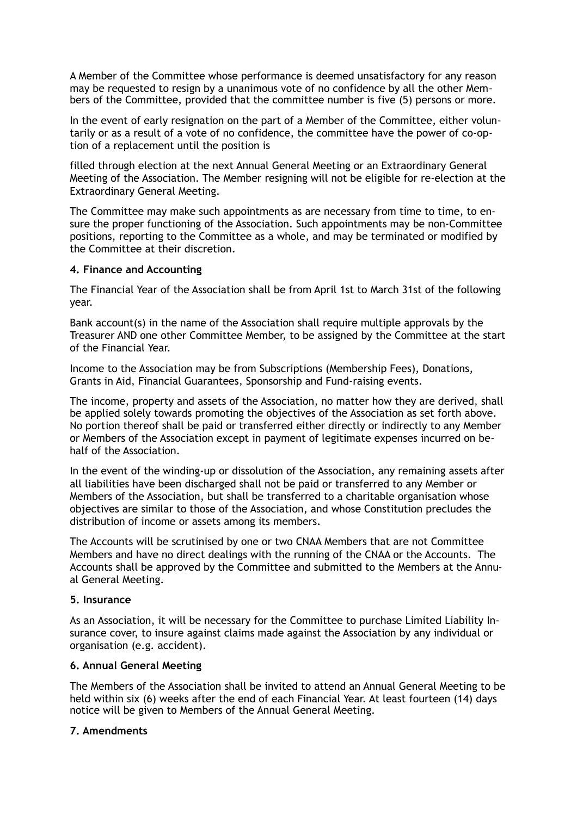A Member of the Committee whose performance is deemed unsatisfactory for any reason may be requested to resign by a unanimous vote of no confidence by all the other Members of the Committee, provided that the committee number is five (5) persons or more.

In the event of early resignation on the part of a Member of the Committee, either voluntarily or as a result of a vote of no confidence, the committee have the power of co-option of a replacement until the position is

filled through election at the next Annual General Meeting or an Extraordinary General Meeting of the Association. The Member resigning will not be eligible for re-election at the Extraordinary General Meeting.

The Committee may make such appointments as are necessary from time to time, to ensure the proper functioning of the Association. Such appointments may be non-Committee positions, reporting to the Committee as a whole, and may be terminated or modified by the Committee at their discretion.

### **4. Finance and Accounting**

The Financial Year of the Association shall be from April 1st to March 31st of the following year.

Bank account(s) in the name of the Association shall require multiple approvals by the Treasurer AND one other Committee Member, to be assigned by the Committee at the start of the Financial Year.

Income to the Association may be from Subscriptions (Membership Fees), Donations, Grants in Aid, Financial Guarantees, Sponsorship and Fund-raising events.

The income, property and assets of the Association, no matter how they are derived, shall be applied solely towards promoting the objectives of the Association as set forth above. No portion thereof shall be paid or transferred either directly or indirectly to any Member or Members of the Association except in payment of legitimate expenses incurred on behalf of the Association.

In the event of the winding-up or dissolution of the Association, any remaining assets after all liabilities have been discharged shall not be paid or transferred to any Member or Members of the Association, but shall be transferred to a charitable organisation whose objectives are similar to those of the Association, and whose Constitution precludes the distribution of income or assets among its members.

The Accounts will be scrutinised by one or two CNAA Members that are not Committee Members and have no direct dealings with the running of the CNAA or the Accounts. The Accounts shall be approved by the Committee and submitted to the Members at the Annual General Meeting.

# **5. Insurance**

As an Association, it will be necessary for the Committee to purchase Limited Liability Insurance cover, to insure against claims made against the Association by any individual or organisation (e.g. accident).

# **6. Annual General Meeting**

The Members of the Association shall be invited to attend an Annual General Meeting to be held within six (6) weeks after the end of each Financial Year. At least fourteen (14) days notice will be given to Members of the Annual General Meeting.

# **7. Amendments**